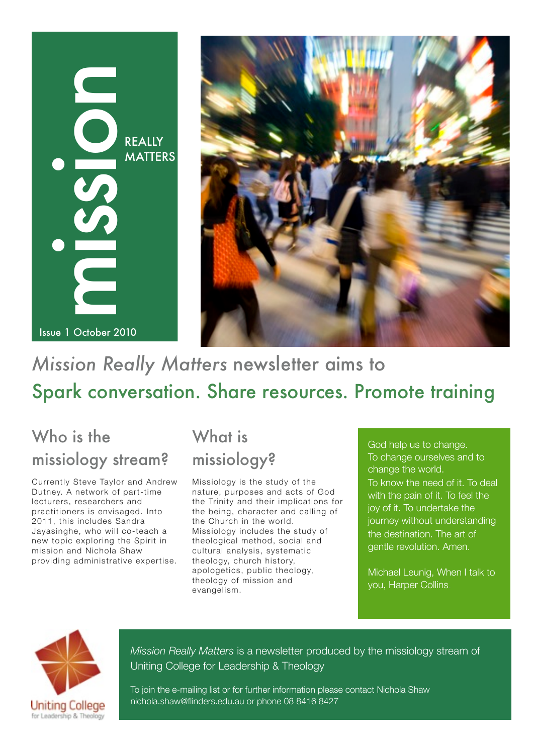# REALLY<br>MATTEI<br>ISsue 1 October 2010 **MATTERS**



# *Mission Really Matters* newsletter aims to Spark conversation. Share resources. Promote training

# Who is the missiology stream?

Currently Steve Taylor and Andrew Dutney. A network of part-time lecturers, researchers and practitioners is envisaged. Into 2011, this includes Sandra Jayasinghe, who will co-teach a new topic exploring the Spirit in mission and Nichola Shaw providing administrative expertise.

# What is missiology?

Missiology is the study of the nature, purposes and acts of God the Trinity and their implications for the being, character and calling of the Church in the world. Missiology includes the study of theological method, social and cultural analysis, systematic theology, church history, apologetics, public theology, theology of mission and evangelism.

God help us to change. To change ourselves and to change the world. To know the need of it. To deal with the pain of it. To feel the joy of it. To undertake the journey without understanding the destination. The art of gentle revolution. Amen.

Michael Leunig, When I talk to you, Harper Collins.



*Mission Really Matters* is a newsletter produced by the missiology stream of Uniting College for Leadership & Theology

To join the e-mailing list or for further information please contact Nichola Shaw nichola.shaw@flinders.edu.au or phone 08 8416 8427